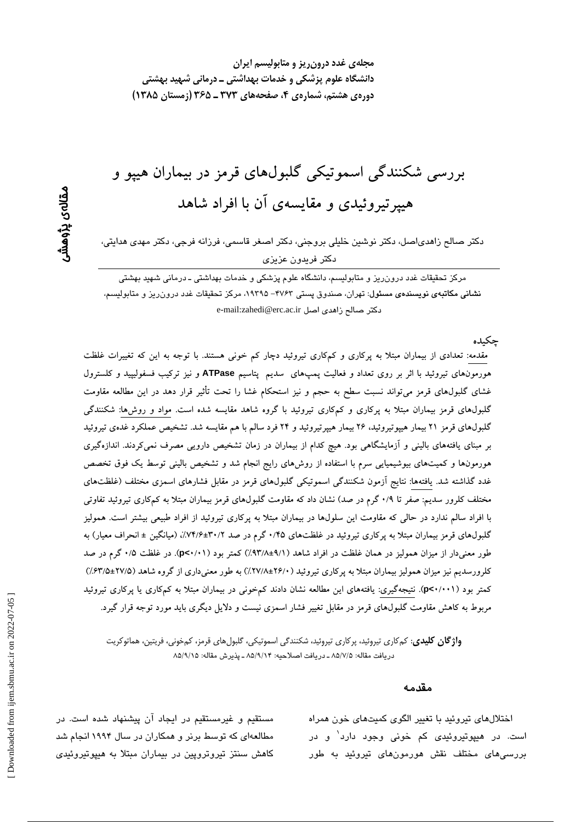بررسی شکنندگی اسموتیکی گلبولهای قرمز در بیماران هیپو و هیپرتیروئیدی و مقایسهی آن با افراد شاهد

دکتر صالح زاهدیاصل، دکتر نوشین خلیلی بروجنی، دکتر اصغر قاسمی، فرزانه فرجی، دکتر مهدی هدایتی، دكتر فريدون عزيزي

مرکز تحقیقات غدد درون٫یز و متابولیسم، دانشگاه علوم پزشکی و خدمات بهداشتی ـ درمانی شهید بهشتی نشانی مکاتبهی نویسندهی مسئول: تهران، صندوق پستی ۴۷۶۳– ۱۹۳۹۵، مرکز تحقیقات غدد درون ریز و متابولیسم، دكتر صالح زاهدى اصل e-mail:zahedi@erc.ac.ir

حكىدە

مقدمه: تعدادی از بیماران مبتلا به پرکاری و کمکاری تیروئید دچار کم خونی هستند. با توجه به این که تغییرات غلظت هورمونهای تیروئید با اثر بر روی تعداد و فعالیت پمپهای سدیم پتاسیم ATPase و نیز ترکیب فسفولیپید و کلسترول غشای گلبولهای قرمز میتواند نسبت سطح به حجم و نیز استحکام غشا را تحت تأثیر قرار دهد در این مطالعه مقاومت گلبول های قرمز بیماران مبتلا به پرکاری و کمکاری تیروئید با گروه شاهد مقایسه شده است. مواد و روش ها: شکنندگی گلبولهای قرمز ۲۱ بیمار هیپوتیروئید، ۲۶ بیمار هیپرتیروئید و ۲۴ فرد سالم با هم مقایسه شد. تشخیص عملکرد غدهی تیروئید بر مبنای یافتههای بالینی و آزمایشگاهی بود. هیچ کدام از بیماران در زمان تشخیص دارویی مصرف نمیکردند. اندازهگیری هورمونها و کمیتهای بیوشیمیایی سرم با استفاده از روشهای رایج انجام شد و تشخیص بالینی توسط یک فوق تخصص غدد گذاشته شد. یافتهها: نتایج آزمون شکنندگی اسموتیکی گلبولهای قرمز در مقابل فشارهای اسمزی مختلف (غلظتهای مختلف کلرور سدیم: صفر تا ۰/۹ گرم در صد) نشان داد که مقاومت گلبولهای قرمز بیماران مبتلا به کمکاری تیروئید تفاوتی با افراد سالم ندارد در حالی که مقاومت این سلولها در بیماران مبتلا به پرکاری تیروئید از افراد طبیعی بیشتر است. همولیز گلبولهای قرمز بیماران مبتلا به پرکاری تیروئید در غلظتهای ۰/۴۵ گرم در صد ۳۰/۲+۶/:۷۴/۶): (میانگین ± انحراف معیار) به طور معنیدار از میزان همولیز در همان غلظت در افراد شاهد (۹/۱±۹۳/۸) کمتر بود (p<۰/۰۱). در غلظت ۰/۵ گرم در صد کلرورسدیم نیز میزان همولیز بیماران مبتلا به یرکاری تیروئید ( ۲۶/۰±۲۷/۸) به طور معنیداری از گروه شاهد (۲۷/۵±۲۷/۵) کمتر بود (p<۰/۰۰۱). نتیجهگیری: یافتههای این مطالعه نشان دادند کمخونی در بیماران مبتلا به کمکاری یا پرکاری تیروئید مربوط به کاهش مقاومت گلبولهای قرمز در مقابل تغییر فشار اسمزی نیست و دلایل دیگری باید مورد توجه قرار گیرد.

**واژ گان کلیدی**: کمکاری تیروئید، پرکاری تیروئید، شکنندگی اسموتیکی، گلبولهای قرمز، کمخونی، فریتین، هماتوکریت دريافت مقاله: ٨٥/٧/٥ ـ دريافت اصلاحيه: ٨٥/٩/١۴ ـ پذيرش مقاله: ٨٥/٩/١٥

#### مقدمه

اختلال های تیروئید با تغییر الگوی کمیتهای خون همراه است. در هیپوتیروئی*دی* کم خونی وجود دارد<sup>۱</sup> و در بررسی،های مختلف نقش هورمون،های تیروئید به طور

مستقیم و غیرمستقیم در ایجاد آن پیشنهاد شده است. در مطالعهای که توسط برنر و همکاران در سال ۱۹۹۴ انجام شد کاهش سنتز تیروتروپین در بیماران مبتلا به هیپوتیروئیدی

مقالەي پڑوھشر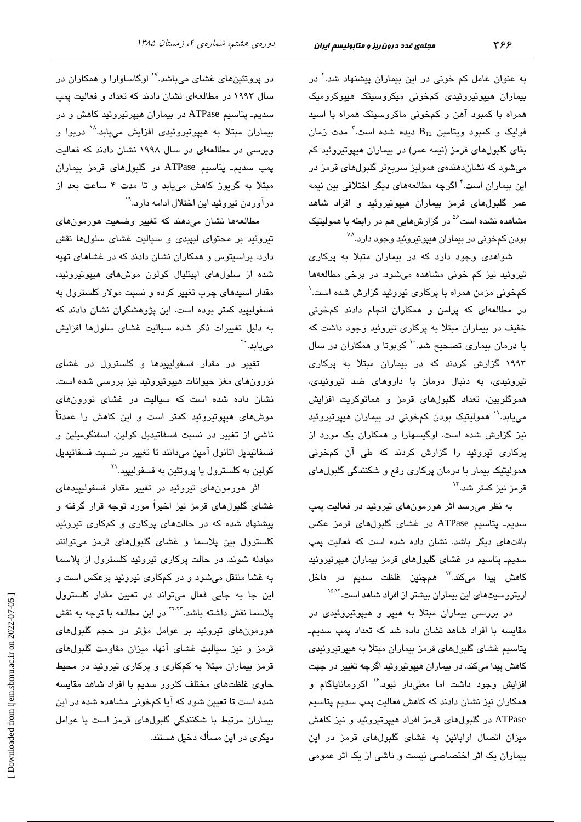به عنوان عامل کم خونی در این بیماران پیشنهاد شد.<sup>۲</sup> در بیماران هیپوتیروئیدی کمخونی میکروسیتک هیپوکرومیک همراه با کمبود آهن و کمخونی ماکروسیتک همراه با اسید فولیک و کمبود ویتامین  $\mathrm{B}_{12}$  دیده شده است. $^\mathrm{7}$  مدت زمان بقای گلبولهای قرمز (نیمه عمر) در بیماران هیپوتیروئید کم میشود که نشاندهندهی همولیز سریعتر گلبولهای قرمز در این بیماران است.<sup>۴</sup> اگرچه مطالعههای دیگر اختلافی بین نیمه عمر گلبولهای قرمز بیماران هیپوتیروئید و افراد شاهد مشاهده نشده است<sup>۵۶</sup> در گزارشهایی هم در رابطه با همولیتیک بودن کمخونی در بیماران هیپوتیروئید وجود دارد.<sup>۷۸</sup>

شواهدی وجود دارد که در بیماران متبلا به پرکاری تیروئید نیز کم خونی مشاهده میشود. در برخی مطالعهها کمخونی مزمن همراه با پرکاری تیروئید گزارش شده است. ٔ در مطالعهای که پرلمن و همکاران انجام دادند کمخونی خفیف در بیماران مبتلا به پرکاری تیروئید وجود داشت که با درمان بیماری تصحیح شد. `` کوبوتا و همکاران در سال ۱۹۹۳ گزارش کردند که در بیماران مبتلا به پرکاری تیروئیدی، به دنبال درمان با داروهای ضد تیروئیدی، هموگلوبین، تعداد گلبولهای قرمز و هماتوکریت افزایش می یابد.'' همولیتیک بودن کمخونی در بیماران هیپرتیروئید نیز گزارش شده است. اوگیسهارا و همکاران یک مورد از پرکاری تیروئید را گزارش کردند که طی آن کمخونی همولیتیک بیمار با درمان پرکاری رفع و شکنندگی گلبولهای قرمز نیز کمتر شد.''

به نظر میرسد اثر هورمونهای تیروئید در فعالیت پمپ سدیم۔ پتاسیم ATPase در غشای گلبولهای قرمز عکس بافتهای دیگر باشد. نشان داده شده است که فعالیت پمپ سدیم۔ پتاسیم در غشا*ی* گلبولها*ی* قرمز بیماران هیپرتیروئید كاهش پيدا مىكند.<sup>۱۳</sup> همچنین غلظت سدیم در داخل اریتروسیتهای این بیماران بیشتر از افراد شاهد است.<sup>۱۵۸۴</sup>

در بررسی بیماران مبتلا به هیپر و هیپوتیروئیدی در مقایسه با افراد شاهد نشان داده شد که تعداد پمپ سدیم۔ پتاسیم غشای گلبولهای قرمز بیماران مبتلا به هیپرتیروئیدی کاهش پیدا میکند. در بیماران هیپوتیروئید اگرچه <mark>تغ</mark>ییر در جهت افزایش وجود داشت اما معنیدار نبود. ۱٬ اکرومانایاگام و همکاران نیز نشان دادند که کاهش فعالیت پمپ سدیم پتاسیم ATPase در گلبول های قرمز افراد هیپرتیروئید و نیز کاهش میزان اتصال اوابائین به غشای گلبولهای قرمز در این بیماران یک اثر اختصاصی نیست و ناشی از یک اثر عمومی

در پروتئینهای غشای میباشد.<sup>۱۷</sup> اوگاساوارا و همکاران در سال ۱۹۹۳ در مطالعهای نشان دادند که تعداد و فعالیت یمپ سدیم۔ پتاسیم ATPase در بیماران هیپرتیروئید کاهش و در بیماران مبتلا به هیپوتیروئیدی افزایش مییابد.<sup>۱۸</sup> دریوا و ویرسی در مطالعهای در سال ۱۹۹۸ نشان دادند که فعالیت پمپ سدیم۔ پتاسیم ATPase در گلبولهای قرمز بیماران مبتلا به گریوز کاهش مییابد و تا مدت ۴ ساعت بعد از درآوردن تیروئید این اختلال ادامه دارد.<sup>۱۹</sup>

مطالعهها نشان مىدهند كه تغيير وضعيت هورمونهاى تیروئید بر محتوای لیپیدی و سیالیت غشای سلولها نقش دارد. براسیتوس و همکاران نشان دادند که در غشاهای تهیه شده از سلولهای ایپتلیال کولون موشهای هیپوتیروئید، مقدار اسبدهای چرب <mark>تغیی</mark>ر کرده و نسبت مولار کلسترول به فسفولیپید کمتر بوده است. این پژوهشگران نشان دادند که به دلیل تغییرات ذکر شده سیالیت غشای سلولها افزایش مے یابد. ``

تغییر در مقدار فسفولیپیدها و کلسترول در غشای نورونهای مغز حیوانات هیپوتیروئید نیز بررسی شده است. نشان داده شده است که سیالیت در غشای نورونهای موشهای هیپوتیروئید کمتر است و این کاهش را عمدتاً ناشی از تغییر در نسبت فسفاتیدیل کولین، اسفنگومیلین و فسفاتيديل اتانول آمين مىدانند تا تغيير در نسبت فسفاتيديل کولین به کلسترول یا پروتئین به فسفولیپید.<sup>۳۱</sup>

اثر هورمونهای تیروئید در تغییر مقدار فسفولیپیدهای غشای گلبولهای قرمز نیز اخیراً مورد توجه قرار گرفته و پیشنهاد شده که در حالتهای پرکاری و کمکاری تیروئید کلسترول بین پلاسما و غشای گلبولهای قرمز میتوانند مبادله شوند. در حالت پرکاری تیروئید کلسترول از پلاسما به غشا منتقل میشود و در کمکاری تیروئید برعکس است و این جا به جایی فعال میتواند در تعیین مقدار کلسترول پلاسما نقش داشته باشد.<sup>۲۲٬۲۲</sup> در این مطالعه با توجه به نقش هورمونهای تیروئید بر عوامل مؤثر در حجم گلبولهای قرمز و نیز سیالیت غشای آنها، میزان مقاومت گلبولهای قرمز بیماران مبتلا به کمکاری و پرکاری تیروئید در محیط حاوی غلظتهای مختلف کلرور سدیم با افراد شاهد مقایسه شده است تا تعیین شود که آیا کمخونی مشاهده شده در این بیماران مرتبط با شکنندگی گلبولهای قرمز است یا عوامل دیگری در این مسأله دخیل هستند.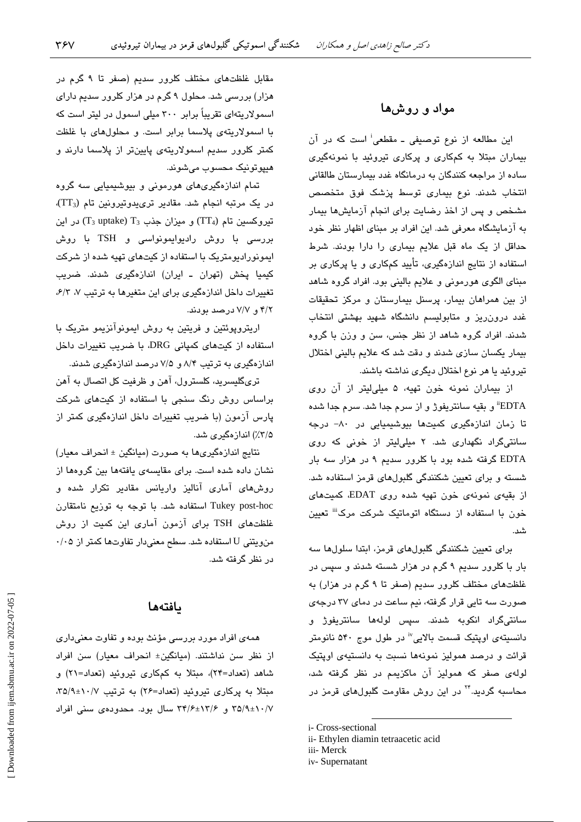## مواد و روشها

این مطالعه از نوع توصیفی ـ مقطعی<sup>:</sup> است که در آن بیماران مبتلا به کمکاری و پرکاری تیروئید با نمونهگیری ساده از مراجعه کنندگان به درمانگاه غدد بیمارستان طالقانی انتخاب شدند. نوع بیماری توسط پزشک فوق متخصص مشخص و پس از اخذ رضایت برای انجام آزمایشها بیمار به آزمایشگاه معرفی شد. این افراد بر مبنای اظهار نظر خود حداقل از یک ماه قبل علایم بیماری را دارا بودند. شرط استفاده از نتایج اندازهگیری، تأیید کمکاری و یا پرکاری بر مبنای الگوی هورمونی و علایم بالینی بود. افراد گروه شاهد از بین همراهان بیمار، پرسنل بیمارستان و مرکز تحقیقات غدد درون ریز و متابولیسم دانشگاه شهید بهشتی انتخاب شدند. افراد گروه شاهد از نظر جنس، سن و وزن با گروه بیمار یکسان سازی شدند و دقت شد که علایم بالینی اختلال تيروئيد يا هر نوع اختلال ديگري نداشته باشند.

از بیماران نمونه خون تهیه، ۵ میلی لیتر از آن روی EDTA" و بقيه سانتريفوژ و از سرم جدا شد. سرم جدا شده تا زمان اندازهگیری کمیتها بیوشیمیایی در ۸۰– درجه سانتیگراد نگهداری شد. ۲ میلیلیتر از خونی که روی EDTA گرفته شده بود با کلرور سدیم ۹ در هزار سه بار شسته و برای تعیین شکنندگی گلبولهای قرمز استفاده شد. از بقیهی نمونهی خون تهیه شده روی EDAT، کمیتهای خون با استفاده از دستگاه اتوماتیک شرکت مرک<sup>نن</sup> تعیین شد.<br>ت

برای تعیین شکنندگی گلبولهای قرمز، ابتدا سلولها سه بار با کلرور سدیم ۹ گرم در هزار شسته شدند و سپس در غلظتهای مختلف کلرور سدیم (صفر تا ۹ گرم در هزار) به صورت سه تایی قرار گرفته، نیم ساعت در دمای ۳۷ درجهی سانتیگراد انکوبه شدند. سپس لولهها سانتریفوژ و دانسیتهی اویتیک قسمت بالایی" در طول موج ۵۴۰ نانومتر قرائت و درصد همولیز نمونهها نسبت به دانستیهی اویتیک لولهی صفر که همولیز آن ماکزیمم در نظر گرفته شد، محاسبه گردید.<sup>۲۴</sup> در این روش مقاومت گلبولها*ی* قرمز در

i- Cross-sectional

- ii- Ethylen diamin tetraacetic acid
- iii- Merck
- iv-Supernatant

مقابل غلظتهای مختلف کلرور سدیم (صفر تا ۹ گرم در هزار) بررسی شد. محلول ۹ گرم در هزار کلرور سدیم دارای اسمولاریتهای تقریباً برابر ۳۰۰ میلی اسمول در لیتر است که با اسمولاریتهی پلاسما برابر است. و محلولهای با غلظت کمتر کلرور سدیم اسمولاریتهی پایینتر از پلاسما دارند و هيپوتونيک محسوب میشوند.

تمام اندازهگیریهای هورمونی و بیوشیمیایی سه گروه  $(TT_3)$  در یک مرتبه انجام شد. مقادیر تری یدوتیرونین تام (TT3)، تیروکسین تام (TT4) و میزان جذب (T3 uptake) در این بررسی با روش رادیوایمونواسی و TSH با روش ایمونورادیومتریک با استفاده از کیتهای تهیه شده از شرکت کیمیا پخش (تهران ـ ایران) اندازهگیری شدند. ضریب تغییرات داخل اندازهگیری برای این متغیرها به ترتیب ۷، ۶/۳، ۴/۲ و. ۷/۷ درصد بودند.

اریتروپوئتین و فریتین به روش ایمونوآنزیمو متریک با استفاده از کیتهای کمپانی DRG با ضریب تغییرات داخل اندازهگیری به ترتیب ۸/۴ و ۷/۵ درصد اندازهگیری شدند.

تریگلیسرید، کلسترول، آهن و ظرفیت کل اتصال به آهن براساس روش رنگ سنجی با استفاده از کیتهای شرکت پارس آزمون (با ضریب تغییرات داخل اندازهگیری کمتر از ۲/۵٪) اندازهگىرى شد.

نتایج اندازهگیریها به صورت (میانگین ± انحراف معیار) نشان داده شده است. برای مقایسهی یافتهها بین گروهها از روشهای آماری آنالیز واریانس مقادیر تکرار شده و Tukey post-hoc استفاده شد. با توجه به توزيع نامتقارن غلظتهای TSH برای آزمون آماری این کمیت از روش من ويتني U استفاده شد. سطح معنى دار تفاوتها كمتر از ۰/۰۵ در نظر گرفته شد.

### بافتهها

همهی افراد مورد بررسی مؤنث بوده و تفاوت معنیداری از نظر سن نداشتند. (میانگین± انحراف معیار) سن افراد شاهد (تعداد=۲۴)، مبتلا به کمکاری تیروئید (تعداد=۲۱) و مبتلا به پرکاری تیروئید (تعداد=۲۶) به ترتیب ۰/۷+۲۵/۹، ۳۵/۹±۱۰/۷ و ۳۴/۶±۱۳/۶ سال بود. محدودهی سنی افراد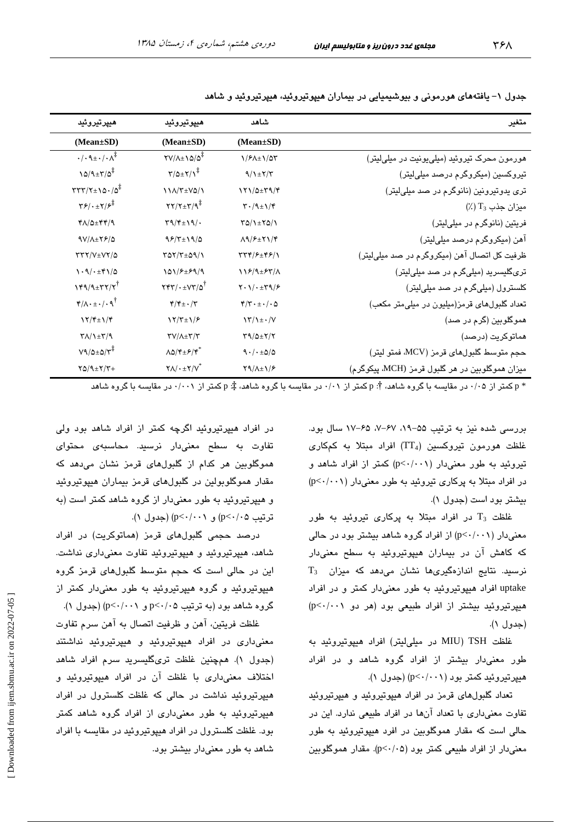| هييرتيروئيد                                                                      | هيپوتيروئيد                                                                        | شاهد                                                      | متغير                                           |
|----------------------------------------------------------------------------------|------------------------------------------------------------------------------------|-----------------------------------------------------------|-------------------------------------------------|
| (Mean±SD)                                                                        | (Mean±SD)                                                                          | $(Mean \pm SD)$                                           |                                                 |
| $\cdot/\cdot \mathcal{A} \pm \cdot/\cdot \Lambda^{\ddagger}$                     | $\frac{1}{2}$                                                                      | 1/۶۸±1/۵۳                                                 | هورمون محرک تیروئید (میلی یونیت در میلی لیتر)   |
| $10/9 \pm 7/0^{\frac{1}{4}}$                                                     | $\Upsilon/\Delta \pm \Upsilon/\Upsilon^{\ddagger}$                                 | $9/1$ $\pm$ $7/7$                                         | تیروکسین (میکروگرم درصد میلیلیتر)               |
| $TTY/Y \pm 10.70^{\ddagger}$                                                     | 11/1/T±VQ/1                                                                        | 171/0±٣٩/۴                                                | تری پدوتیرونین (نانوگرم در صد میلیلیتر)         |
| $\mathbf{Y}$ $\mathbf{Y}$ $\cdot$ $\pm \mathbf{Y}$ $\mathbf{Y}$ $\mathbf{Y}$     | $\Upsilon \Upsilon / \Upsilon \pm \Upsilon / \mathcal{R}^{\ddagger}$               | $\mathbf{Y} \cdot (\mathbf{A} \pm \mathbf{1})/\mathbf{Y}$ | $\left(\frac{1}{2}\right)$ میزان جذب $T_3$      |
| $Y\Lambda/\Delta \pm YY/\gamma$                                                  | $\Upsilon \eta / \Upsilon \pm \Upsilon \eta / \cdot$                               | $YQ/\lambda + YQ/\lambda$                                 | فریتین (نانوگرم در میلیلیتر)                    |
| $9V/\lambda \pm 79/\Delta$                                                       | $95/7 \pm 19/0$                                                                    | $\Lambda$ 9/ $\epsilon$ + $\Upsilon$ 1/ $\Upsilon$        | آهن (میکروگرم درصد میلیلیتر)                    |
| $\tau\tau\tau/\nu_{\pm}\nu\tau/\Delta$                                           | $YAY/Y+\Delta Y/\lambda$                                                           | <b>TTF/F±FF/1</b>                                         | ظرفیت کل اتصال آهن (میکروگرم در صد میلیلیتر)    |
| $\backslash \cdot \backslash / \cdot \pm \mathfrak{r} \backslash / \vartriangle$ | 101/۶±۶۹/۹                                                                         | 118/9±85/1                                                | تریگلیسرید (میلیگرم در صد میلیلیتر)             |
| $Y^{\alpha}/4$ + $Y^{\gamma}$                                                    | $\mathbf{Y}\mathbf{Y}\mathbf{Y}/\cdot\pm\mathbf{V}\mathbf{Y}/\mathbf{Q}^{\dagger}$ | $Y \cdot 1 / \cdot \pm Y \cdot 1 / 5$                     | کلسترول (میلیگرم در صد میلی لیتر)               |
| $\mathbf{f}/\Lambda \cdot \pm \cdot / \cdot \mathbf{q}^{\dagger}$                | $\mathbf{f}/\mathbf{f}$ + $\cdot/\mathbf{f}$                                       | $\mathfrak{r}/\mathfrak{r}\cdot\pm\cdot$ / $\cdot$ 0      | تعداد گلبولهای قرمز(میلیون در میلی متر مکعب)    |
| $\frac{1}{\gamma + 1}$                                                           | $Y/Y_{\pm}Y/\epsilon$                                                              | $\frac{\Upsilon}{\Upsilon}$                               | هموگلوبین (گرم در صد)                           |
| $\Upsilon \Lambda / \Upsilon \pm \Upsilon / \Upsilon$                            | $\Upsilon V/\Lambda \pm \Upsilon/\Upsilon$                                         | $\Upsilon$ 9/0± $\Upsilon/\Upsilon$                       | هماتوكريت (درصد)                                |
| $V9/2\times 2/V^*$                                                               | $\Lambda \Delta / \mathfrak{r} \pm \mathfrak{F} / \mathfrak{r}^*$                  | 9.1.120                                                   | حجم متوسط گلبولهای قرمز (MCV، فمتو لیتر)        |
| $Y\Delta / \mathcal{A} \pm Y/Y +$                                                | $Y \Lambda / \cdot \pm Y / V^*$                                                    | $Y9/\lambda \pm 1/F$                                      | ميزان هموگلوبين در هر گلبول قرمز (MCH، پيكوگرم) |

جدول ۱– یافتههای هورمونی و بیوشیمیایی در بیماران هیپوتیروئید، هیپرتیروئید و شاهد

\* p کمتر از ۰/۰۵ در مقاسبه با گروه شاهد، †: p کمتر از ۰/۰۱ در مقاسبه با گروه شاهد، ‡: p کمتر از ۰/۰۰۱ در مقاسبه با گروه شاهد

بررسی شده نیز به ترتیب ۵۵–۰۹، ۶۷–۰٪ ۶۵–۱۷ سال بود. غلظت هورمون تیروکسین (TT4) افراد مبتلا به کمکاری تیروئید به طور معنیدار (p<٠/٠٠١) کمتر از افراد شاهد و  $(p<\cdot/\cdot\cdot)$  در افراد میتلا به پرکاری تیروئید به طور معنیدار بیشتر بود است (جدول ۱).

غلظت  $T_3$  در افراد مبتلا به پركارى تيروئيد به طور معنیدار (p<٠/٠٠١) از افراد گروه شاهد بیشتر بود در حالی که کاهش آن در بیماران هیپوتیروئید به سطح معنیدار  $T_3$  نرسید. نتایج اندازهگیریها نشان میدهد که میزان uptake افراد هیپوتیروئید به طور معنیدار کمتر و در افراد هیپرتیروئید بیشتر از افراد طبیعی بود (هر دو p<٠/٠٠١) (جدول ۱).

غلظت MIU) TSH در میلی لیتر) افراد هیپوتیروئید به طور معنیٍدار بیشتر از افراد گروه شاهد و در افراد هیپرتیروئید کمتر بود (p<٠/٠٠١) (جدول ١).

تعداد گلبولهای قرمز در افراد هیپوتیروئید و هیپرتیروئید تفاوت معنى دارى با تعداد آنها در افراد طبيعى ندارد. اين در حالي است که مقدار هموگلوبين در افرد هيپوتيروئيد به طور معنی دار از افراد طبیعی کمتر بود (p<٠/٠۵). مقدار هموگلویین

در افراد هیپرتیروئید اگرچه کمتر از افراد شاهد بود ولی تفاوت به سطح معنیدار نرسید. محاسبهی محتوای هموگلوبین هر کدام از گلبولهای قرمز نشان میدهد که مقدار هموگلوپولین در گلبولهای قرمز بیماران هیپوتیروئید و هیپرتیروئید به طور معنیدار از گروه شاهد کمتر است (به ترتیب p<٠/٠٥) و p<٠/٠٠) (جدول ١).

درصد حجمی گلئولهای قرمز (هماتوکریت) در افراد شاهد، هیپرتیروئید و هیپوتیروئید تفاوت معنیداری نداشت. این در حالی است که حجم متوسط گلبولهای قرمز گروه هیپوتیروئید و گروه هیپرتیروئید به طور معنیٍدار کمتر از گروه شاهد بود (به ترتیب p<٠/٠۵ و p<٠/٠١) (جدول ١).

غلظت فريتين، آهن و ظرفيت اتصال به آهن سرم تفاوت معنیداری در افراد هیپوتیروئید و هیپرتیروئید نداشتند (جدول ۱). همچنین غلظت تریگلیسرید سرم افراد شاهد اختلاف معنی داری با غلظت آن در افراد هیپوتیروئید و هیپرتیروئید نداشت در حالی که غلظت کلسترول در افراد هیپرتیروئید به طور معنیداری از افراد گروه شاهد کمتر بود. غلظت کلسترول در افراد هیپوتیروئید در مقایسه با افراد شاهد به طور معنی دار بیشتر بود.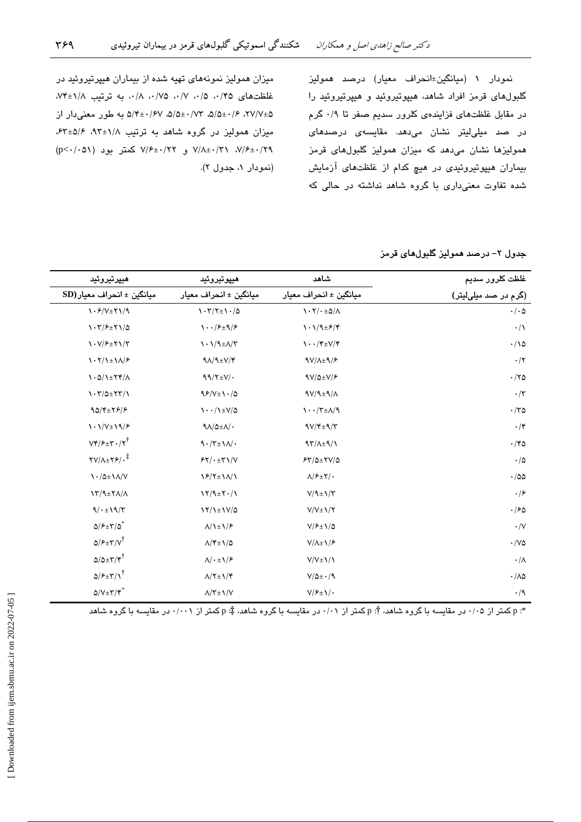نمودار ١ (ميانگين±انحراف معيار) درصد هموليز گلبولهای قرمز افراد شاهد، هیپوتیروئید و هیپرتیروئید را در مقابل غلظتهای فزایندهی کلرور سدیم صفر تا ۰/۹ گرم در صد میلیلیتر نشان میدهد. مقایسه*ی* درصدها*ی* همولیزها نشان میدهد که میزان همولیز گلبولهای قرمز بیماران هیپوتیروئیدی در هیچ کدام از غلظتهای آزمایش شده تفاوت معنیداری با گروه شاهد نداشته در حالی که

میزان همولیز نمونههای تهیه شده از بیماران هیپرتیروئید در غلظتهای ۰/۵،۰/۵، ۰/۷، ۰/۷۵، ۰/۸، به ترتیب ۰/۸+۷۴ ۲۷/۷±۵/۵ ۰/۶۲، ۵/۵±۰/۶۷، ۵/۵±۰/۶۷ به طور معنیدار از میزان همولیز در گروه شاهد به ترتیب ۹۲±۹۲، ۶۴±۵/۶، ۷/۶±۰/۲۹ و. ۷/۶±۰/۲۲ کمتر بود (p<۰/۰۵۱) (نمودار ۱، جدول ۲).

جدول ٢– درصد همولیز گلبولهای قرمز

| هيپرتيروئيد                                                                    | هيپوتيروئيد                                                                                                                                      | شاهد                                                                              | غلظت كلرور سديم                   |
|--------------------------------------------------------------------------------|--------------------------------------------------------------------------------------------------------------------------------------------------|-----------------------------------------------------------------------------------|-----------------------------------|
| $SD$ میانگین ± انحراف معیار                                                    | ميانگين ± انحراف معيار                                                                                                                           | میانگین ± انحراف معیار                                                            | (گرم در صد میلیلیتر)              |
| $\frac{\gamma \cdot \mathcal{F}}{\nu \pm \gamma \sqrt{9}}$                     | $\gamma \cdot \gamma / \gamma \pm \gamma \cdot / \Delta$                                                                                         | $\mathcal{N} \cdot \mathcal{N}/\cdot \pm \Delta/\Lambda$                          | $\cdot/\cdot$ ۵                   |
| $\mathcal{N} \cdot \mathcal{K}/\mathcal{F} \pm \mathcal{K} \mathcal{N}/\Delta$ | $\eta \cdot \frac{1}{\epsilon}$                                                                                                                  | $\lambda \cdot \lambda/9 \pm 5/8$                                                 | $\cdot/\wedge$                    |
| $\binom{1-V}{f}$ + $\binom{V}{f}$                                              | $\lambda \cdot \lambda/9 \pm \Lambda/\Upsilon$                                                                                                   | $\mathcal{N} \cdot \frac{1}{\mathcal{N}} \mathcal{N} \pm \mathcal{N}/\mathcal{N}$ | $\cdot/\backslash \vartriangle$   |
| $\lambda \cdot \gamma / \lambda \pm \lambda / \gamma$                          | $9\Lambda/9\pm V/\mathfrak{S}$                                                                                                                   | $9V/\lambda \pm 9/8$                                                              | $\cdot/$ ٢                        |
| $\lambda \cdot \Delta / \lambda \pm \Upsilon \Upsilon / \Lambda$               | $99/\text{Y+V}$ .                                                                                                                                | $9V/\Delta \pm V/F$                                                               | $\cdot$ /۲۵                       |
| $\Upsilon \cdot \Upsilon / \Delta \pm \Upsilon \Upsilon / \Upsilon$            | $95/V \pm 1.40$                                                                                                                                  | $9V/9=9/\Lambda$                                                                  | $\cdot/\tau$                      |
| $90/\mathfrak{r}$ + $\mathfrak{r}/\mathfrak{r}$                                | $\backslash\cdot\cdot/\backslash\pm\mathsf{V}/\mathsf{O}$                                                                                        | $\Lambda \cdot \cdot / \Upsilon \pm \Lambda / \Lambda$                            | $\cdot$ /٣۵                       |
| $\langle \cdot \rangle / V_{\pm} \rangle$                                      | $9\Lambda/\Delta \pm \Lambda/\cdot$                                                                                                              | $9V/F+9/r$                                                                        | $\cdot$ /۴                        |
| $Vf/\mathcal{F} \pm f \cdot / \mathcal{F}^{\dagger}$                           | $\ensuremath{\mathsf{q}}\xspace \cdot \!/\ensuremath{\mathsf{r}}\xspace \pm \ensuremath{\mathsf{q}}\xspace \,/\! \ensuremath{\mathsf{q}}\xspace$ | $97/\lambda \pm 9/\gamma$                                                         | $\cdot$ /۴۵                       |
| $\frac{1}{2}$                                                                  | $57/1+57/ V$                                                                                                                                     | $54/0 \pm 10/0$                                                                   | $\cdot/\Delta$                    |
| $\lambda \cdot / \Delta \pm \lambda / \Delta V$                                | $\frac{1}{2}$                                                                                                                                    | $\Lambda/\mathit{F}\pm\mathit{Y}/\cdot$                                           | $\cdot$ /00                       |
| $\frac{1}{\sqrt{2}}$                                                           | $\frac{1}{\sqrt{4}}$                                                                                                                             | $V/9$ ± $V/7$                                                                     | $\cdot$ /۶                        |
| 9/1.19/5                                                                       | $\frac{1}{\sqrt{2}}$                                                                                                                             | $V/V \pm V/\Upsilon$                                                              | $\cdot$ /۶۵                       |
| $\Delta$ / $\epsilon$ + $\tau$ / $\Delta^*$                                    | $\Lambda/\lambda \pm \lambda/\mathcal{F}$                                                                                                        | $V/F \pm 1/\Delta$                                                                | $\cdot/\vee$                      |
| $Q/P \pm Y/V^{\dagger}$                                                        | $\Lambda/\mathfrak{k} \pm \mathfrak{t}/\mathfrak{0}$                                                                                             | $V/\lambda \pm \frac{\sqrt{5}}{2}$                                                | $\cdot$ /V۵                       |
| $\Delta/\Delta \pm \Upsilon/\Upsilon^{\dagger}$                                | $\Lambda/\cdot \pm \lambda/\mathcal{F}$                                                                                                          | $V/V \pm 1/\lambda$                                                               | $\cdot/\wedge$                    |
| $Q/P \pm \Upsilon/\Upsilon$                                                    | $\Lambda/\Upsilon \pm \Upsilon/\Upsilon$                                                                                                         | $V/\Delta \pm \cdot /9$                                                           | $\cdot$ /<br>$\wedge\vartriangle$ |
| $\Delta/V \pm \Upsilon/\Upsilon^*$                                             | $\Lambda/\Upsilon \pm \Upsilon/\Upsilon$                                                                                                         | $V/F \pm V$ .                                                                     | $\cdot/9$                         |

\*: p کمتر از ۰/۰۵ در مقایسه با گروه شاهد، †: p کمتر از ۰/۰۱ در مقایسه با گروه شاهد، ‡: p کمتر از ۰/۰۰۱ در مقایسه با گروه شاهد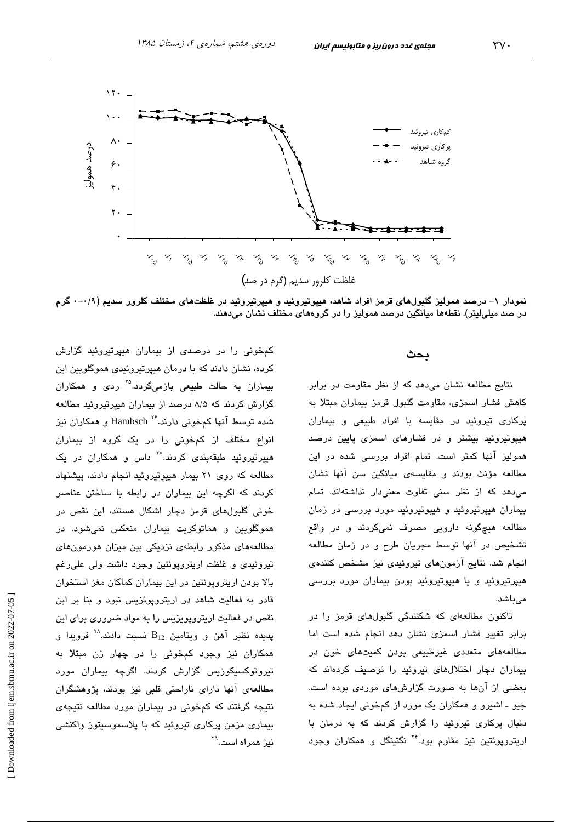

نمودار ۱– درصد همولیز گلبولهای قرمز افراد شاهد، هیپوتیروئید و هیپرتیروئید در غلظتهای مختلف کلرور سدیم (۰/۹–۰ گرم در صد میلیلیتر). نقطهها میانگین درصد همولیز را در گروههای مختلف نشان میدهند.

### بحث

نتایج مطالعه نشان می دهد که از نظر مقاومت در برابر كاهش فشار اسمزى، مقاومت گلبول قرمز بيماران مبتلا به یرکاری تیروئید در مقایسه با افراد طبیعی و بیماران هیپوتیروئید بیشتر و در فشارهای اسمزی پایین درصد همولیز آنها کمتر است. تمام افراد بررسی شده در این مطالعه مؤنث بودند و مقايسهى ميانگين سن آنها نشان می دهد که از نظر سنی تفاوت معنی دار نداشتهاند. تمام بیماران هیپرتیروئید و هیپوتیروئید مورد بررسی در زمان مطالعه هیچگونه دارویی مصرف نمیکردند و در واقع تشخیص در آنها توسط مجریان طرح و در زمان مطالعه انجام شد. نتایج آزمونهای تیروئیدی نیز مشخص کنندهی هیپرتیروئید و یا هیپوتیروئید بودن بیماران مورد بررسی مے راشد.

تاکنون مطالعهای که شکنندگی گلبولهای قرمز را در برابر تغییر فشار اسمزی نشان دهد انجام شده است اما مطالعههای متعددی غیرطبیعی بودن کمیتهای خون در بیماران دچار اختلالهای تیروئید را توصیف کردهاند که بعضی از آنها به صورت گزارشهای موردی بوده است. جيو ـ اشپرو و همکاران يک مورد از کمخونی ايجاد شده به دنبال پرکاری تیروئید را گزارش کردند که به درمان با اریتروپوئتین نیز مقاوم بود.<sup>۲۴</sup> نگتینگل و همکاران وجود

کمخونی را در درصدی از بیماران هیپرتیروئید گزارش کرده، نشان دادند که با درمان هیپرتیروئیدی هموگلوبین این بیماران به حالت طبیعی بازمی،گردد.<sup>۲۵</sup> ردی و همکاران گزارش کردند که ۸/۵ درصد از بیماران هیپرتیروئید مطالعه شده توسط آنها کمخونی دارند.<sup>۲۶</sup> Hambsch و همکاران نیز انواع مختلف از کمخونی را در یک گروه از بیماران هیپرتیروئید طبقهبندی کردند.<sup>۲۷</sup> داس و همکاران در یک مطالعه که روی ۲۱ بیمار هیپوتیروئید انجام دادند، پیشنهاد کردند که اگرچه این بیماران در رابطه با ساختن عناصر خونی گلبولهای قرمز دچار اشکال هستند، این نقص در هموگلوبین و هماتوکریت بیماران منعکس نمیشود. در مطالعههای مذکور رابطهی نزدیکی بین میزان هورمونهای تیروئیدی و غلظت اریتروپوئتین وجود داشت ولی علی رغم بالا بودن اریترویوئتین در این بیماران کماکان مغز استخوان قادر به فعالیت شاهد در اریترویوئزیس نبود و بنا بر این نقص در فعالیت اریتروپویزیس را به مواد ضروری برای این  $\mathbf{B}_{12}$  پدیده نظیر آهن و ویتامین  $\mathbf{B}_{12}$  نسبت دادند. $^\mathcal{N}$  فرویدا و همکاران نیز وجود کمخونی را در چهار زن مبتلا به تیروتوکسیکوزیس گزارش کردند. اگرچه بیماران مورد مطالعهی آنها دارای ناراحتی قلبی نیز بودند، پژوهشگران نتیجه گرفتند که کمخونی در بیماران مورد مطالعه نتیجهی بیماری مزمن پرکاری تیروئید که با پلاسموسیتوز واکنشی نيز همراه است.<sup>۲۹</sup>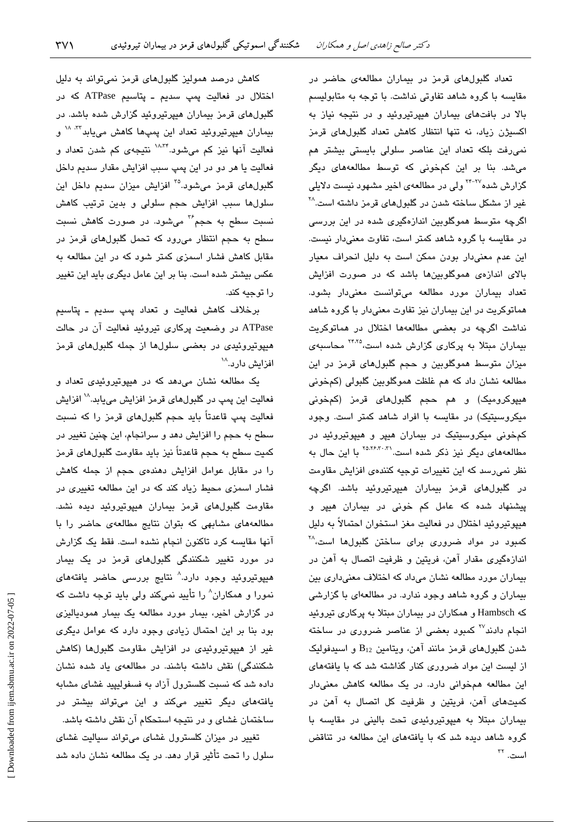تعداد گلبولهای قرمز در بیماران مطالعهی حاضر در مقایسه با گروه شاهد تفاوتی نداشت. با توجه به متابولیسم بالا در بافتهای بیماران هیپرتیروئید و در نتیجه نیاز به اکسیژن زیاد، نه تنها انتظار کاهش تعداد گلبولهای قرمز نمی رفت بلکه تعداد این عناصر سلولی بایستی بیشتر هم میشد. بنا بر این کمخونی که توسط مطالعههای دیگر گزارش شده<sup>۲۲–۲۴</sup> ولی در مطالعهی اخیر مشهود نیست دلایلی غیر از مشکل ساخته شدن در گلبولهای قرمز داشته است.<sup>۲۸</sup> اگرچه متوسط هموگلوبین اندازهگیری شده در این بررسی در مقایسه با گروه شاهد کمتر است، تفاوت معنیدار نیست. این عدم معنی دار بودن ممکن است به دلیل انحراف معیار بالای اندازهی هموگلوبینها باشد که در صورت افزایش تعداد بیماران مورد مطالعه میتوانست معنیدار بشود. هماتوکریت در این بیماران نیز تفاوت معنیدار با گروه شاهد نداشت اگرچه در بعضی مطالعهها اختلال در هماتوکریت بیماران مبتلا به پرکاری گزارش شده است،<sup>۲۴،۲۵</sup> محاسبهی میزان متوسط هموگلوبین و حجم گلبولهای قرمز در این مطالعه نشان داد که هم غلظت هموگلوبین گلبولی (کمخونی هیپوکرومیک) و هم حجم گلبولهای قرمز (کمخونی میکروسیتیک) در مقایسه با افراد شاهد کمتر است. وجود کمخونی میکروسیتیک در بیماران هیپر و هیپوتیروئید در مطالعههای دیگر نیز ذکر شده است.<sup>۲۵،۲۶،۳۰</sup> با این حال به نظر نمی رسد که این تغییرات توجیه کنندهی افزایش مقاومت در گلبولهای قرمز بیماران هیپرتیروئید باشد. اگرچه پیشنهاد شده که عامل کم خونی در بیماران هیپر و هييوتيروئيد اختلال در فعاليت مغز استخوان احتمالاً به دليل کمبود در مواد ضروری برای ساختن گلبولها است، <sup>۲۸</sup> اندازهگیری مقدار آهن، فریتین و ظرفیت اتصال به آهن در بیماران مورد مطالعه نشان میداد که اختلاف معنیداری بین بیماران و گروه شاهد وجود ندارد. در مطالعهای با گزارشی که Hambsch و همکاران در بیماران مبتلا به پرکاری تیروئید انجام دادند<sup>۲۷</sup> کمبود بعضی از عناصر ضروری در ساخته شدن گلبولهای قرمز مانند آهن، ویتامین B12 و اسپدفولیک از لیست این مواد ضروری کنار گذاشته شد که با یافتههای این مطالعه همخوانی دارد. در یک مطالعه کاهش معنیدار کمیتهای آهن، فریتین و ظرفیت کل اتصال به آهن در بیماران مبتلا به هیپوتیروئیدی تحت بالینی در مقایسه با گروه شاهد دیده شد که با یافتههای این مطالعه در تناقض است. <sup>٢٢</sup>

کاهش درصد همولیز گلبولهای قرمز نمیتواند به دلیل اختلال در فعالیت یمپ سدیم ـ پتاسیم ATPase که در گلبولهای قرمز بیماران هیپرتیروئید گزارش شده باشد. در بیماران هیپرتیروئید تعداد این پمپها کاهش می<mark>یابد<sup>۳۲، ۱۸</sup> و</mark> فعالیت آنها نیز کم میشود.<sup>۱۸،۳۴</sup> نتیجهی کم شدن تعداد و فعاليت يا هر دو در اين پمپ سبب افزايش مقدار سديم داخل گلبولهای قرمز میشود.<sup>۲۵</sup> افزایش میزان سدیم داخل این سلولها سبب افزایش حجم سلولی و بدین ترتیب کاهش نسبت سطح به حجم<sup>۳۶</sup> میشود. در صورت کاهش نسبت سطح به حجم انتظار میرود که تحمل گلبولهای قرمز در مقابل کاهش فشار اسمزی کمتر شود که در این مطالعه به عکس بیشتر شده است. بنا بر این عامل دیگری باید این تغییر را توجيه كند.

برخلاف كاهش فعاليت و تعداد پمپ سديم ـ پتاسيم ATPase در وضعیت پرکاری تیروئید فعالیت آن در حالت هیپوتیروئیدی در بعضی سلولها از جمله گلبولهای قرمز افزایش دارد.<sup>۱۸</sup>

یک مطالعه نشان میدهد که در هیپوتیروئیدی تعداد و فعالیت این پمپ در گلبولهای قرمز افزایش مییابد.<sup>۱۸</sup> افزایش فعالیت پمپ قاعدتاً باید حجم گلبولهای قرمز را که نسبت سطح به حجم را افزایش دهد و سرانجام، این چنین تغییر در کمیت سطح به حجم قاعدتاً نیز باید مقاومت گلبولهای قرمز را در مقابل عوامل افزایش دهندهی حجم از جمله کاهش فشار اسمزی محیط زیاد کند که در این مطالعه تغییری در مقاومت گلبولهای قرمز بیماران هیپوتیروئید دیده نشد. مطالعههای مشابهی که بتوان نتایج مطالعهی حاضر را با آنها مقایسه کرد تاکنون انجام نشده است. فقط یک گزارش در مورد <mark>تغیی</mark>ر شکنن*دگی* گلبولها*ی* قرمز در یک بیمار هیپوتیروئید وجود دارد.^ نتایج بررسی حاضر یافتههای نمورا و همکاران^ را تأیید نمیکند ولی باید توجه داشت که در گزارش اخیر، بیمار مورد مطالعه یک بیمار همودیالیزی بود بنا بر این احتمال زیادی وجود دارد که عوامل دیگری غیر از هیپوتیروئیدی در افزایش مقاومت گلبولها (کاهش شکنندگی) نقش داشته باشند. در مطالعهی یاد شده نشان داده شد که نسبت کلسترول آزاد به فسفولیپید غشای مشابه یافتههای دیگر تغییر میکند و این میتواند بیشتر در ساختمان غشای و در نتیجه استحکام آن نقش داشته باشد. تغییر در میزان کلسترول غشای میتواند سیالیت غشای

سلول را تحت تأثیر قرار دهد. در یک مطالعه نشان داده شد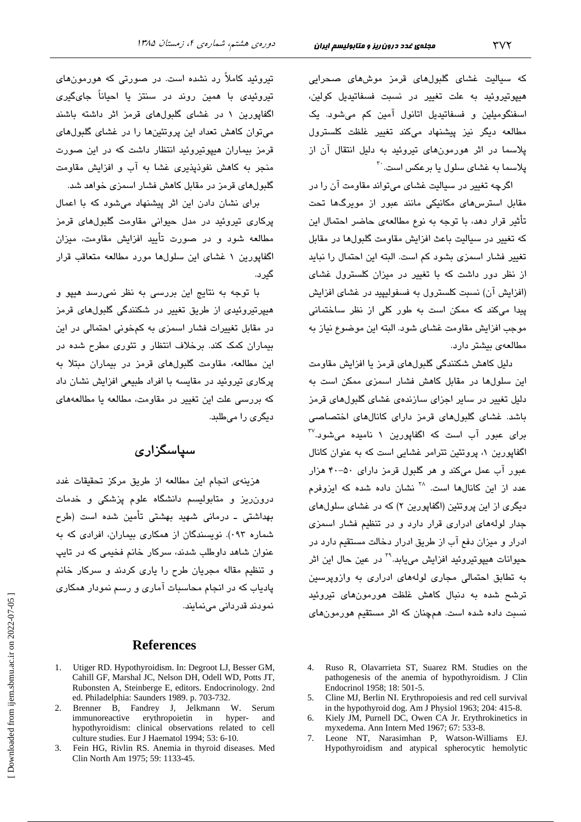که سیالیت غشای گلبولهای قرمز موشهای صحرابی هیپوتیروئید به علت تغییر در نسبت فسفاتیدیل کولین، اسفنگومیلین و فسفاتیدیل اتانول آمین کم میشود. یک مطالعه دیگر نیز پیشنهاد میکند تغییر غلظت کلسترول پلاسما در اثر هورمونهای تروئند به دلیل انتقال آن از پلاسما به غشا*ی* سلول یا برعکس است.<sup>۳۰</sup>

اگرچه تغییر در سیالیت غشای میتواند مقاومت آن را در مقابل استرسهای مکانیکی مانند عبور از مویرگها تحت تأثير قرار دهد، با توجه به نوع مطالعهى حاضر احتمال اين كه تغییر در سیالیت باعث افزایش مقاومت گلبولها در مقابل تغییر فشار اسمزی بشود کم است. البته این احتمال را نباید از نظر دور داشت که با تغییر در میزان کلسترول غشای (افزایش آن) نسبت کلسترول به فسفولیپید در غشای افزایش پیدا میکند که ممکن است به طور کلی از نظر ساختمانی موجب افزايش مقاومت غشاى شود. البته اين موضوع نياز به مطالعهى بيشتر دارد.

دلیل کاهش شکنندگی گلبولهای قرمز یا افزایش مقاومت این سلولها در مقابل کاهش فشار اسمزی ممکن است به دلیل تغییر در سایر اجزای سازندهی غشای گلبولهای قرمز باشد. غشای گلبولهای قرمز دارای کانالهای اختصاصی  $^{\text{IV}}$ برای عبور آب است که اگفاپورین ۱ نامیده میشود. اگفاپورین ۱، پروتئین تترامر غشایی است که به عنوان کانال عبور آب عمل میکند و هر گلبول قرمز دارای ۵۰-۴۰ هزار عدد از این کانالها است. <sup>۲۸</sup> نشان داده شده که ایزوفرم دیگری از این پروتئین (اگفاپورین ۲) که در غشای سلولهای جدار لولههای ادراری قرار دارد و در تنظیم فشار اسمزی ادرار و میزان دفع آب از طریق ادرار دخالت مستقیم دارد در حيوانات هيپوتيروئيد افزايش مىيابد.<sup>7۹</sup> در عين حال اين اثر به تطابق احتمالی مجاری لولههای ادراری به وازویرسین ترشح شده به دنبال کاهش غلظت هورمونهای تیروئید نسبت داده شده است. همچنان که اثر مستقیم هورمونهای

- 4. Ruso R, Olavarrieta ST, Suarez RM. Studies on the pathogenesis of the anemia of hypothyroidism. J Clin Endocrinol 1958; 18: 501-5.
- 5. Cline MJ, Berlin NI. Erythropoiesis and red cell survival in the hypothyroid dog. Am J Physiol 1963; 204: 415-8.
- Kiely JM, Purnell DC, Owen CA Jr. Erythrokinetics in 6. myxedema. Ann Intern Med 1967; 67: 533-8.
- Leone NT, Narasimhan P, Watson-Williams EJ.  $7<sup>7</sup>$ Hypothyroidism and atypical spherocytic hemolytic

تیروئید کاملاً رد نشده است. در صورتی که هورمونهای تیروئیدی با همین روند در سنتز یا احىاناً جایگىرى اگفایورین ۱ در غشای گلبولهای قرمز اثر داشته باشند میتوان کاهش تعداد این پروتئینها را در غشای گلبولهای قرمز بیماران هیپوتیروئید انتظار داشت که در این صورت منجر به کاهش نفوذیذیری غشا به آب و افزایش مقاومت گلبولهای قرمز در مقابل کاهش فشار اسمزی خواهد شد.

برای نشان دادن این اثر پیشنهاد می شود که با اعمال پرکاری تیروئید در مدل حیوانی مقاومت گلبولهای قرمز مطالعه شود و در صورت تأیید افزایش مقاومت، میزان اگفایورین ۱ غشای این سلولها مورد مطالعه متعاقب قرار گىرد.

با توجه به نتایج این بررسی به نظر نمی رسد هیپو و هیپرتیروئیدی از طریق تغییر در شکنندگی گلبولهای قرمز در مقابل تغییرات فشار اسمزی به کمخونی احتمالی در این بیماران کمک کند. برخلاف انتظار و تئوری مطرح شده در این مطالعه، مقاومت گلبولهای قرمز در بیماران میتلا به پرکاری تیروئید در مقایسه با افراد طبیعی افزایش نشان داد که بررسی علت این تغییر در مقاومت، مطالعه یا مطالعههای دیگری را میطلبد.

# سیاسگزاری

هزینهی انجام این مطالعه از طریق مرکز تحقیقات غدد درون ریز و متابولیسم دانشگاه علوم پزشکی و خدمات بهداشتی ـ درمانی شهید بهشتی تأمین شده است (طرح شماره ۰۹۳). نویسندگان از همکاری بیماران، افرادی که به عنوان شاهد داوطلب شدند، سرکار خانم فخیمی که در تابپ و تنظیم مقاله مجریان طرح را یاری کردند و سرکار خانم پادیاب که در انجام محاسبات آماری و رسم نمودار همکاری نمو دند قدر دانی مے نمائند.

### **References**

- 1. Utiger RD. Hypothyroidism. In: Degroot LJ, Besser GM, Cahill GF, Marshal JC, Nelson DH, Odell WD, Potts JT, Rubonsten A, Steinberge E, editors. Endocrinology. 2nd ed. Philadelphia: Saunders 1989. p. 703-732.
- 2. Brenner B, Fandrey J, Jelkmann W. Serum immunoreactive erythropoietin  $in$ hyper- and hypothyroidism: clinical observations related to cell culture studies. Eur J Haematol 1994; 53: 6-10.
- 3. Fein HG, Rivlin RS. Anemia in thyroid diseases. Med Clin North Am 1975; 59: 1133-45.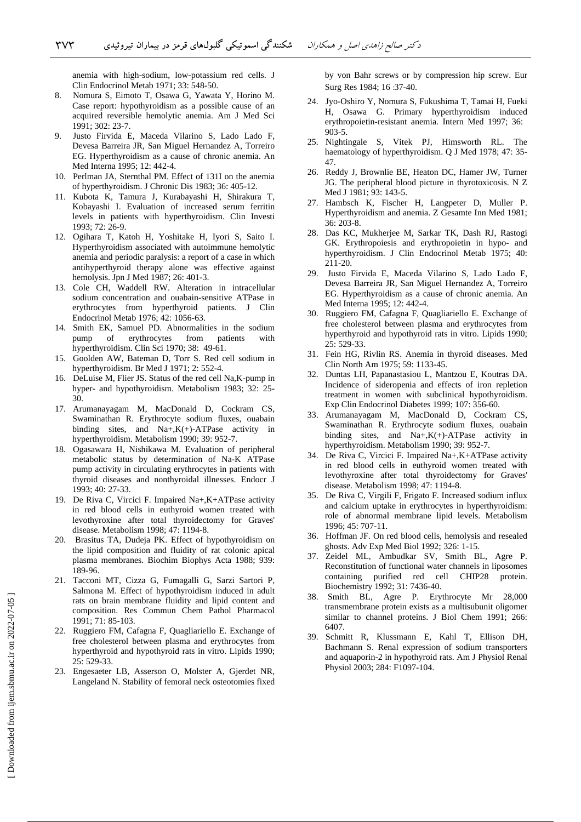anemia with high-sodium, low-potassium red cells. J Clin Endocrinol Metab 1971; 33: 548-50.

- 8. Nomura S, Eimoto T, Osawa G, Yawata Y, Horino M. Case report: hypothyroidism as a possible cause of an acquired reversible hemolytic anemia. Am J Med Sci 1991; 302: 23-7.
- 9. Justo Firvida E, Maceda Vilarino S, Lado Lado F, Devesa Barreira JR, San Miguel Hernandez A, Torreiro EG. Hyperthyroidism as a cause of chronic anemia. An Med Interna 1995; 12: 442-4.
- 10. Perlman JA, Sternthal PM. Effect of 131I on the anemia of hyperthyroidism. J Chronic Dis 1983; 36: 405-12.
- 11. Kubota K, Tamura J, Kurabayashi H, Shirakura T, Kobayashi I. Evaluation of increased serum ferritin levels in patients with hyperthyroidism. Clin Investi 1993; 72: 26-9.
- 12. Ogihara T, Katoh H, Yoshitake H, Iyori S, Saito I. Hyperthyroidism associated with autoimmune hemolytic anemia and periodic paralysis: a report of a case in which antihyperthyroid therapy alone was effective against hemolysis. Jpn J Med 1987; 26: 401-3.
- 13. Cole CH, Waddell RW. Alteration in intracellular sodium concentration and ouabain-sensitive ATPase in erythrocytes from hyperthyroid patients. J Clin Endocrinol Metab 1976; 42: 1056-63.
- 14. Smith EK, Samuel PD. Abnormalities in the sodium pump of erythrocytes from patients with hyperthyroidism. Clin Sci 1970; 38: 49-61.
- 15. Goolden AW, Bateman D, Torr S. Red cell sodium in hyperthyroidism. Br Med J 1971; 2: 552-4.
- 16. DeLuise M, Flier JS. Status of the red cell Na,K-pump in hyper- and hypothyroidism. Metabolism 1983; 32: 25- 30.
- 17. Arumanayagam M, MacDonald D, Cockram CS, Swaminathan R. Erythrocyte sodium fluxes, ouabain binding sites, and Na+,K(+)-ATPase activity in hyperthyroidism. Metabolism 1990; 39: 952-7.
- 18. Ogasawara H, Nishikawa M. Evaluation of peripheral metabolic status by determination of Na-K ATPase pump activity in circulating erythrocytes in patients with thyroid diseases and nonthyroidal illnesses. Endocr J 1993; 40: 27-33.
- 19. De Riva C, Vircici F. Impaired Na+,K+ATPase activity in red blood cells in euthyroid women treated with levothyroxine after total thyroidectomy for Graves' disease. Metabolism 1998; 47: 1194-8.
- 20. Brasitus TA, Dudeja PK. Effect of hypothyroidism on the lipid composition and fluidity of rat colonic apical plasma membranes. Biochim Biophys Acta 1988; 939: 189-96.
- 21. Tacconi MT, Cizza G, Fumagalli G, Sarzi Sartori P, Salmona M. Effect of hypothyroidism induced in adult rats on brain membrane fluidity and lipid content and composition. Res Commun Chem Pathol Pharmacol 1991; 71: 85-103.
- 22. Ruggiero FM, Cafagna F, Quagliariello E. Exchange of free cholesterol between plasma and erythrocytes from hyperthyroid and hypothyroid rats in vitro. Lipids 1990; 25: 529-33.
- 23. Engesaeter LB, Asserson O, Molster A, Gjerdet NR, Langeland N. Stability of femoral neck osteotomies fixed

by von Bahr screws or by compression hip screw. Eur Surg Res 1984; 16 :37-40.

- 24. Jyo-Oshiro Y, Nomura S, Fukushima T, Tamai H, Fueki H, Osawa G. Primary hyperthyroidism induced erythropoietin-resistant anemia. Intern Med 1997; 36: 903-5.
- 25. Nightingale S, Vitek PJ, Himsworth RL. The haematology of hyperthyroidism. Q J Med 1978; 47: 35- 47.
- 26. Reddy J, Brownlie BE, Heaton DC, Hamer JW, Turner JG. The peripheral blood picture in thyrotoxicosis. N Z Med J 1981; 93: 143-5.
- 27. Hambsch K, Fischer H, Langpeter D, Muller P. Hyperthyroidism and anemia. Z Gesamte Inn Med 1981; 36: 203-8.
- 28. Das KC, Mukherjee M, Sarkar TK, Dash RJ, Rastogi GK. Erythropoiesis and erythropoietin in hypo- and hyperthyroidism. J Clin Endocrinol Metab 1975; 40: 211-20.
- 29. Justo Firvida E, Maceda Vilarino S, Lado Lado F, Devesa Barreira JR, San Miguel Hernandez A, Torreiro EG. Hyperthyroidism as a cause of chronic anemia. An Med Interna 1995; 12: 442-4.
- 30. Ruggiero FM, Cafagna F, Quagliariello E. Exchange of free cholesterol between plasma and erythrocytes from hyperthyroid and hypothyroid rats in vitro. Lipids 1990; 25: 529-33.
- 31. Fein HG, Rivlin RS. Anemia in thyroid diseases. Med Clin North Am 1975; 59: 1133-45.
- 32. Duntas LH, Papanastasiou L, Mantzou E, Koutras DA. Incidence of sideropenia and effects of iron repletion treatment in women with subclinical hypothyroidism. Exp Clin Endocrinol Diabetes 1999; 107: 356-60.
- 33. Arumanayagam M, MacDonald D, Cockram CS, Swaminathan R. Erythrocyte sodium fluxes, ouabain binding sites, and  $Na+$ , $K$ (+)-ATPase activity in hyperthyroidism. Metabolism 1990; 39: 952-7.
- 34. De Riva C, Vircici F. Impaired Na+,K+ATPase activity in red blood cells in euthyroid women treated with levothyroxine after total thyroidectomy for Graves' disease. Metabolism 1998; 47: 1194-8.
- 35. De Riva C, Virgili F, Frigato F. Increased sodium influx and calcium uptake in erythrocytes in hyperthyroidism: role of abnormal membrane lipid levels. Metabolism 1996; 45: 707-11.
- 36. Hoffman JF. On red blood cells, hemolysis and resealed ghosts. Adv Exp Med Biol 1992; 326: 1-15.
- 37. Zeidel ML, Ambudkar SV, Smith BL, Agre P. Reconstitution of functional water channels in liposomes containing purified red cell CHIP28 protein. Biochemistry 1992; 31: 7436-40.
- 38. Smith BL, Agre P. Erythrocyte Mr 28,000 transmembrane protein exists as a multisubunit oligomer similar to channel proteins. J Biol Chem 1991; 266: 6407.
- 39. Schmitt R, Klussmann E, Kahl T, Ellison DH, Bachmann S. Renal expression of sodium transporters and aquaporin-2 in hypothyroid rats. Am J Physiol Renal Physiol 2003; 284: F1097-104.